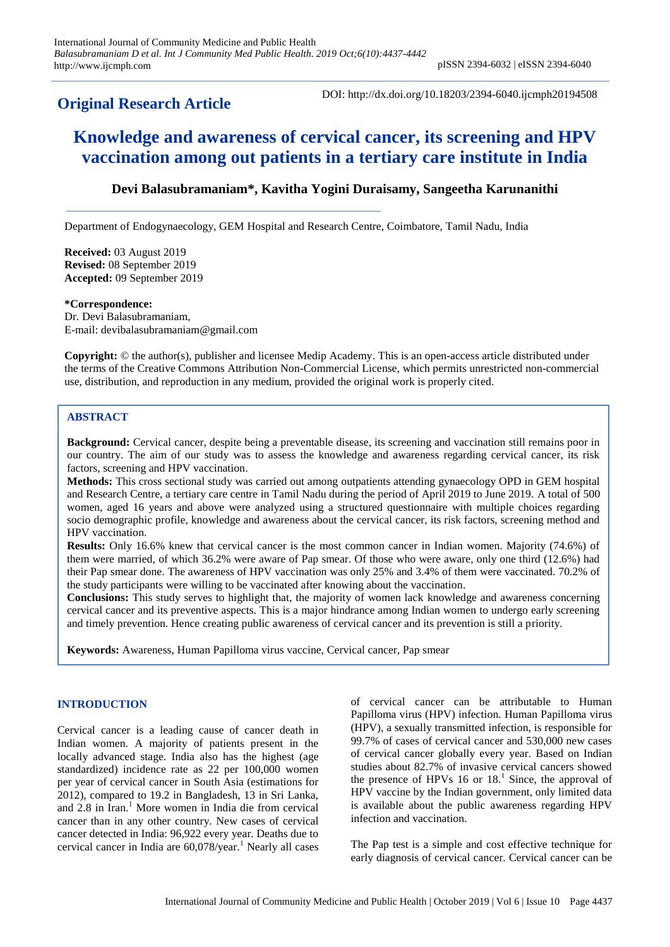# **Original Research Article**

DOI: http://dx.doi.org/10.18203/2394-6040.ijcmph20194508

# **Knowledge and awareness of cervical cancer, its screening and HPV vaccination among out patients in a tertiary care institute in India**

# **Devi Balasubramaniam\*, Kavitha Yogini Duraisamy, Sangeetha Karunanithi**

Department of Endogynaecology, GEM Hospital and Research Centre, Coimbatore, Tamil Nadu, India

**Received:** 03 August 2019 **Revised:** 08 September 2019 **Accepted:** 09 September 2019

**\*Correspondence:**

Dr. Devi Balasubramaniam, E-mail: devibalasubramaniam@gmail.com

**Copyright:** © the author(s), publisher and licensee Medip Academy. This is an open-access article distributed under the terms of the Creative Commons Attribution Non-Commercial License, which permits unrestricted non-commercial use, distribution, and reproduction in any medium, provided the original work is properly cited.

# **ABSTRACT**

**Background:** Cervical cancer, despite being a preventable disease, its screening and vaccination still remains poor in our country. The aim of our study was to assess the knowledge and awareness regarding cervical cancer, its risk factors, screening and HPV vaccination.

**Methods:** This cross sectional study was carried out among outpatients attending gynaecology OPD in GEM hospital and Research Centre, a tertiary care centre in Tamil Nadu during the period of April 2019 to June 2019. A total of 500 women, aged 16 years and above were analyzed using a structured questionnaire with multiple choices regarding socio demographic profile, knowledge and awareness about the cervical cancer, its risk factors, screening method and HPV vaccination.

**Results:** Only 16.6% knew that cervical cancer is the most common cancer in Indian women. Majority (74.6%) of them were married, of which 36.2% were aware of Pap smear. Of those who were aware, only one third (12.6%) had their Pap smear done. The awareness of HPV vaccination was only 25% and 3.4% of them were vaccinated. 70.2% of the study participants were willing to be vaccinated after knowing about the vaccination.

**Conclusions:** This study serves to highlight that, the majority of women lack knowledge and awareness concerning cervical cancer and its preventive aspects. This is a major hindrance among Indian women to undergo early screening and timely prevention. Hence creating public awareness of cervical cancer and its prevention is still a priority.

**Keywords:** Awareness, Human Papilloma virus vaccine, Cervical cancer, Pap smear

#### **INTRODUCTION**

Cervical cancer is a leading cause of cancer death in Indian women. A majority of patients present in the locally advanced stage. India also has the highest (age standardized) incidence rate as 22 per 100,000 women per year of cervical cancer in South Asia (estimations for 2012), compared to 19.2 in Bangladesh, 13 in Sri Lanka, and  $2.8$  in Iran.<sup>1</sup> More women in India die from cervical cancer than in any other country. New cases of cervical cancer detected in India: 96,922 every year. Deaths due to cervical cancer in India are  $60,078$ /year.<sup>1</sup> Nearly all cases of cervical cancer can be attributable to Human Papilloma virus (HPV) infection. Human Papilloma virus (HPV), a sexually transmitted infection, is responsible for 99.7% of cases of cervical cancer and 530,000 new cases of cervical cancer globally every year. Based on Indian studies about 82.7% of invasive cervical cancers showed the presence of HPVs  $16$  or  $18<sup>1</sup>$ . Since, the approval of HPV vaccine by the Indian government, only limited data is available about the public awareness regarding HPV infection and vaccination.

The Pap test is a simple and cost effective technique for early diagnosis of cervical cancer. Cervical cancer can be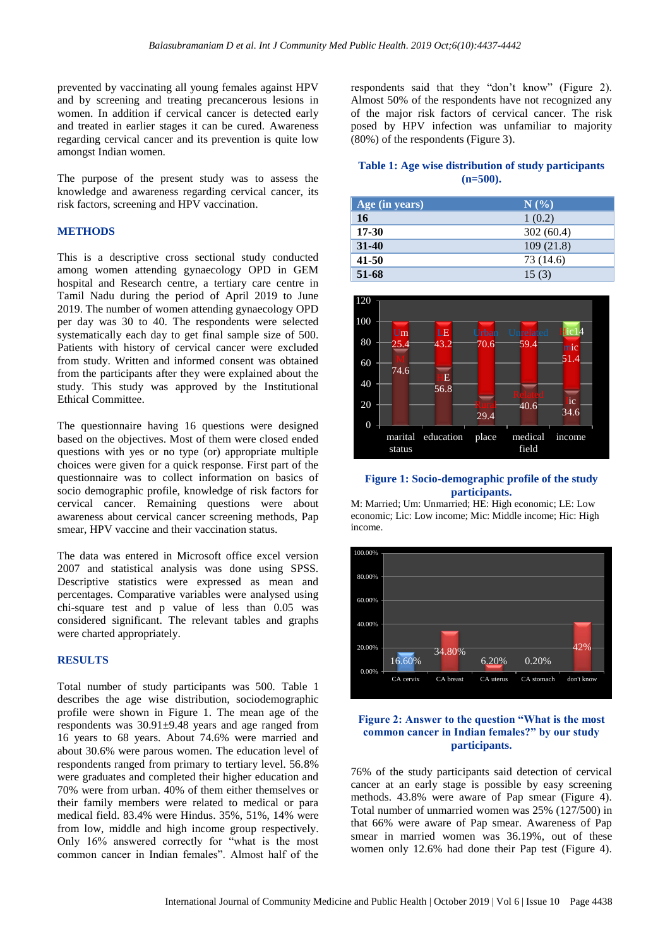prevented by vaccinating all young females against HPV and by screening and treating precancerous lesions in women. In addition if cervical cancer is detected early and treated in earlier stages it can be cured. Awareness regarding cervical cancer and its prevention is quite low amongst Indian women.

The purpose of the present study was to assess the knowledge and awareness regarding cervical cancer, its risk factors, screening and HPV vaccination.

#### **METHODS**

This is a descriptive cross sectional study conducted among women attending gynaecology OPD in GEM hospital and Research centre, a tertiary care centre in Tamil Nadu during the period of April 2019 to June 2019. The number of women attending gynaecology OPD per day was 30 to 40. The respondents were selected systematically each day to get final sample size of 500. Patients with history of cervical cancer were excluded from study. Written and informed consent was obtained from the participants after they were explained about the study. This study was approved by the Institutional Ethical Committee.

The questionnaire having 16 questions were designed based on the objectives. Most of them were closed ended questions with yes or no type (or) appropriate multiple choices were given for a quick response. First part of the questionnaire was to collect information on basics of socio demographic profile, knowledge of risk factors for cervical cancer. Remaining questions were about awareness about cervical cancer screening methods, Pap smear, HPV vaccine and their vaccination status.

The data was entered in Microsoft office excel version 2007 and statistical analysis was done using SPSS. Descriptive statistics were expressed as mean and percentages. Comparative variables were analysed using chi-square test and p value of less than 0.05 was considered significant. The relevant tables and graphs were charted appropriately.

#### **RESULTS**

Total number of study participants was 500. Table 1 describes the age wise distribution, sociodemographic profile were shown in Figure 1. The mean age of the respondents was 30.91±9.48 years and age ranged from 16 years to 68 years. About 74.6% were married and about 30.6% were parous women. The education level of respondents ranged from primary to tertiary level. 56.8% were graduates and completed their higher education and 70% were from urban. 40% of them either themselves or their family members were related to medical or para medical field. 83.4% were Hindus. 35%, 51%, 14% were from low, middle and high income group respectively. Only 16% answered correctly for "what is the most common cancer in Indian females". Almost half of the

respondents said that they "don't know" (Figure 2). Almost 50% of the respondents have not recognized any of the major risk factors of cervical cancer. The risk posed by HPV infection was unfamiliar to majority (80%) of the respondents (Figure 3).

### **Table 1: Age wise distribution of study participants (n=500).**

| Age (in years) | N(%       |
|----------------|-----------|
| 16             | 1(0.2)    |
| 17-30          | 302(60.4) |
| $31 - 40$      | 109(21.8) |
| 41-50          | 73 (14.6) |
| 51-68          | 15(3)     |



#### **Figure 1: Socio-demographic profile of the study participants.**

M: Married; Um: Unmarried; HE: High economic; LE: Low economic; Lic: Low income; Mic: Middle income; Hic: High income.



#### **Figure 2: Answer to the question "What is the most common cancer in Indian females?" by our study participants.**

76% of the study participants said detection of cervical cancer at an early stage is possible by easy screening methods. 43.8% were aware of Pap smear (Figure 4). Total number of unmarried women was 25% (127/500) in that 66% were aware of Pap smear. Awareness of Pap smear in married women was 36.19%, out of these women only 12.6% had done their Pap test (Figure 4).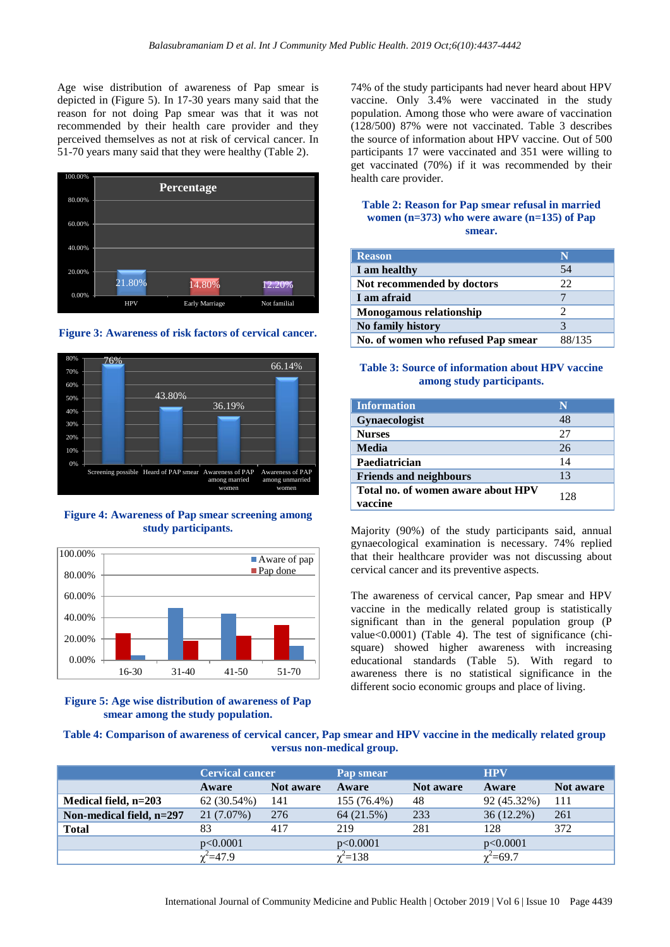Age wise distribution of awareness of Pap smear is depicted in (Figure 5). In 17-30 years many said that the reason for not doing Pap smear was that it was not recommended by their health care provider and they perceived themselves as not at risk of cervical cancer. In 51-70 years many said that they were healthy (Table 2).







**Figure 4: Awareness of Pap smear screening among study participants.**



#### **Figure 5: Age wise distribution of awareness of Pap smear among the study population.**

74% of the study participants had never heard about HPV vaccine. Only 3.4% were vaccinated in the study population. Among those who were aware of vaccination (128/500) 87% were not vaccinated. Table 3 describes the source of information about HPV vaccine. Out of 500 participants 17 were vaccinated and 351 were willing to get vaccinated (70%) if it was recommended by their health care provider.

#### **Table 2: Reason for Pap smear refusal in married women (n=373) who were aware (n=135) of Pap smear.**

| <b>Reason</b>                      | N      |
|------------------------------------|--------|
| I am healthy                       | 54     |
| Not recommended by doctors         | 22     |
| I am afraid                        |        |
| Monogamous relationship            | 2      |
| No family history                  |        |
| No. of women who refused Pap smear | 88/135 |

#### **Table 3: Source of information about HPV vaccine among study participants.**

| <b>Information</b>                            | N   |
|-----------------------------------------------|-----|
| <b>Gynaecologist</b>                          | 48  |
| <b>Nurses</b>                                 | 27  |
| <b>Media</b>                                  | 26  |
| Paediatrician                                 | 14  |
| <b>Friends and neighbours</b>                 | 13  |
| Total no. of women aware about HPV<br>vaccine | 128 |

Majority (90%) of the study participants said, annual gynaecological examination is necessary. 74% replied that their healthcare provider was not discussing about cervical cancer and its preventive aspects.

The awareness of cervical cancer, Pap smear and HPV vaccine in the medically related group is statistically significant than in the general population group (P value<0.0001) (Table 4). The test of significance (chisquare) showed higher awareness with increasing educational standards (Table 5). With regard to awareness there is no statistical significance in the different socio economic groups and place of living.

#### **Table 4: Comparison of awareness of cervical cancer, Pap smear and HPV vaccine in the medically related group versus non-medical group.**

|                          | <b>Cervical cancer</b> |           | Pap smear      |           | <b>HPV</b>     |           |
|--------------------------|------------------------|-----------|----------------|-----------|----------------|-----------|
|                          | Aware                  | Not aware | Aware          | Not aware | Aware          | Not aware |
| Medical field, n=203     | 62 (30.54%)            | 141       | 155 (76.4%)    | 48        | 92 (45.32%)    | 111       |
| Non-medical field, n=297 | 21 (7.07%)             | 276       | 64 (21.5%)     | 233       | $36(12.2\%)$   | 261       |
| <b>Total</b>             |                        | 417       | 219            | 281       | 128            | 372       |
|                          | p<0.0001               |           | p<0.0001       |           | p<0.0001       |           |
|                          | $\gamma^2 = 47.9$      |           | $\chi^2 = 138$ |           | $\chi^2$ =69.7 |           |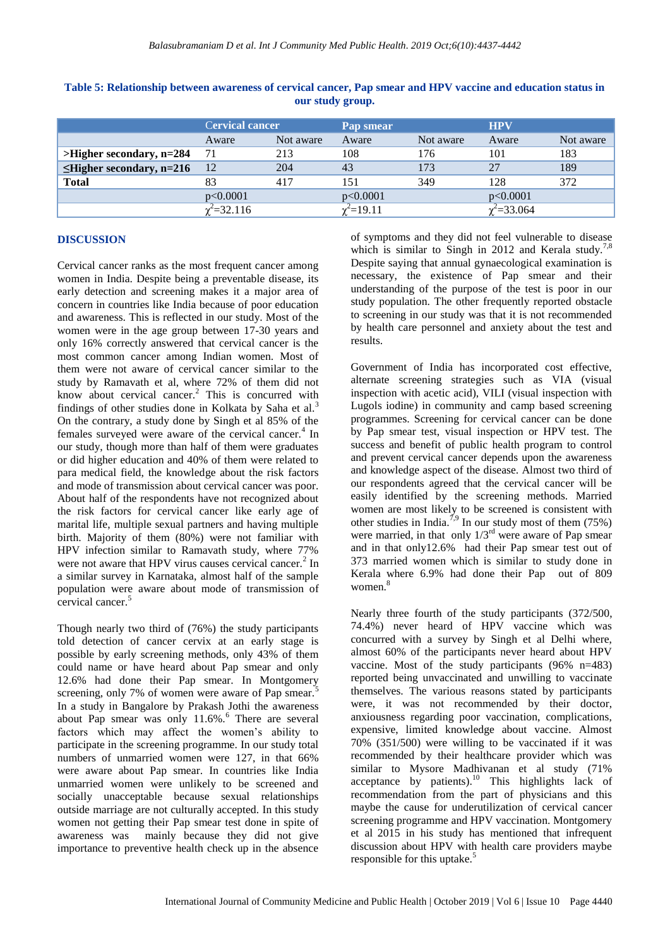|                                | <b>Cervical cancer</b> |           | Pap smear    |           | <b>HPV</b>        |           |
|--------------------------------|------------------------|-----------|--------------|-----------|-------------------|-----------|
|                                | Aware                  | Not aware | Aware        | Not aware | Aware             | Not aware |
| $>$ Higher secondary, n=284    | -71                    | 213       | 108          | 176       | 101               | 183       |
| $\leq$ Higher secondary, n=216 | -12                    | 204       | 43           | 173       | 27                | 189       |
| <b>Total</b>                   | 83                     | 417       | 151          | 349       | 128               | 372       |
|                                | p<0.0001               |           | p<0.0001     |           | p<0.0001          |           |
|                                | $\chi^2$ =32.116       |           | $t^2$ =19.11 |           | $\chi^2 = 33.064$ |           |

# **Table 5: Relationship between awareness of cervical cancer, Pap smear and HPV vaccine and education status in our study group.**

# **DISCUSSION**

Cervical cancer ranks as the most frequent cancer among women in India. Despite being a preventable disease, its early detection and screening makes it a major area of concern in countries like India because of poor education and awareness. This is reflected in our study. Most of the women were in the age group between 17-30 years and only 16% correctly answered that cervical cancer is the most common cancer among Indian women. Most of them were not aware of cervical cancer similar to the study by Ramavath et al, where 72% of them did not know about cervical cancer.<sup>2</sup> This is concurred with findings of other studies done in Kolkata by Saha et al.<sup>3</sup> On the contrary, a study done by Singh et al 85% of the females surveyed were aware of the cervical cancer.<sup>4</sup> In our study, though more than half of them were graduates or did higher education and 40% of them were related to para medical field, the knowledge about the risk factors and mode of transmission about cervical cancer was poor. About half of the respondents have not recognized about the risk factors for cervical cancer like early age of marital life, multiple sexual partners and having multiple birth. Majority of them (80%) were not familiar with HPV infection similar to Ramavath study, where 77% were not aware that HPV virus causes cervical cancer.<sup>2</sup> In a similar survey in Karnataka, almost half of the sample population were aware about mode of transmission of cervical cancer.<sup>5</sup>

Though nearly two third of (76%) the study participants told detection of cancer cervix at an early stage is possible by early screening methods, only 43% of them could name or have heard about Pap smear and only 12.6% had done their Pap smear. In Montgomery screening, only 7% of women were aware of Pap smear.<sup>5</sup> In a study in Bangalore by Prakash Jothi the awareness about Pap smear was only 11.6%.<sup>6</sup> There are several factors which may affect the women's ability to participate in the screening programme. In our study total numbers of unmarried women were 127, in that 66% were aware about Pap smear. In countries like India unmarried women were unlikely to be screened and socially unacceptable because sexual relationships outside marriage are not culturally accepted. In this study women not getting their Pap smear test done in spite of awareness was mainly because they did not give importance to preventive health check up in the absence

of symptoms and they did not feel vulnerable to disease which is similar to Singh in 2012 and Kerala study.<sup>7,8</sup> Despite saying that annual gynaecological examination is necessary, the existence of Pap smear and their understanding of the purpose of the test is poor in our study population. The other frequently reported obstacle to screening in our study was that it is not recommended by health care personnel and anxiety about the test and results.

Government of India has incorporated cost effective, alternate screening strategies such as VIA (visual inspection with acetic acid), VILI (visual inspection with Lugols iodine) in community and camp based screening programmes. Screening for cervical cancer can be done by Pap smear test, visual inspection or HPV test. The success and benefit of public health program to control and prevent cervical cancer depends upon the awareness and knowledge aspect of the disease. Almost two third of our respondents agreed that the cervical cancer will be easily identified by the screening methods. Married women are most likely to be screened is consistent with other studies in India.<sup>7,9</sup> In our study most of them (75%) were married, in that only  $1/3<sup>rd</sup>$  were aware of Pap smear and in that only12.6% had their Pap smear test out of 373 married women which is similar to study done in Kerala where 6.9% had done their Pap out of 809 women. 8

Nearly three fourth of the study participants (372/500, 74.4%) never heard of HPV vaccine which was concurred with a survey by Singh et al Delhi where, almost 60% of the participants never heard about HPV vaccine. Most of the study participants (96% n=483) reported being unvaccinated and unwilling to vaccinate themselves. The various reasons stated by participants were, it was not recommended by their doctor, anxiousness regarding poor vaccination, complications, expensive, limited knowledge about vaccine. Almost 70% (351/500) were willing to be vaccinated if it was recommended by their healthcare provider which was similar to Mysore Madhivanan et al study (71% acceptance by patients). $10$  This highlights lack of recommendation from the part of physicians and this maybe the cause for underutilization of cervical cancer screening programme and HPV vaccination. Montgomery et al 2015 in his study has mentioned that infrequent discussion about HPV with health care providers maybe responsible for this uptake.<sup>5</sup>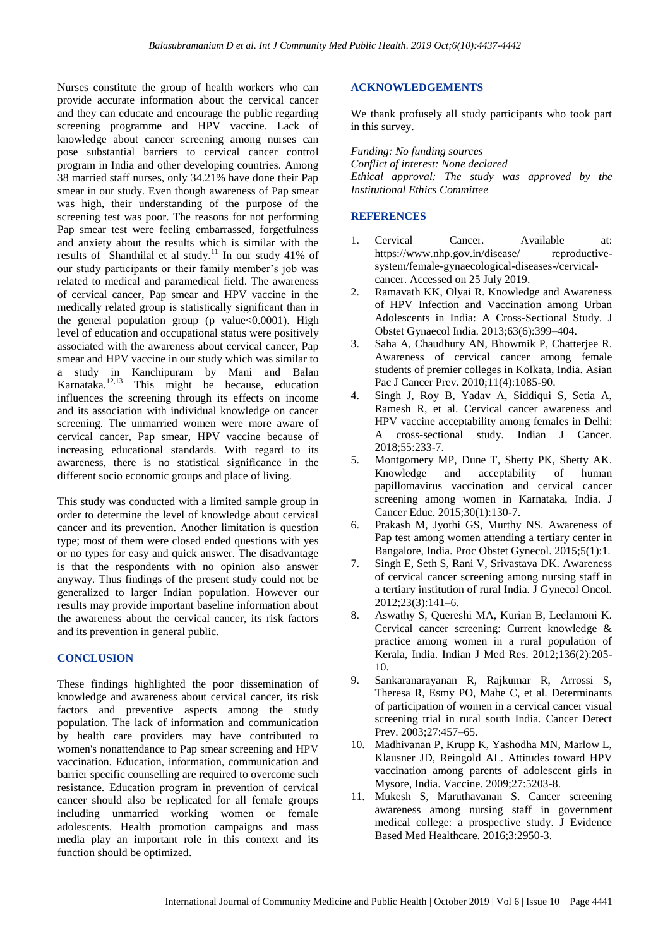Nurses constitute the group of health workers who can provide accurate information about the cervical cancer and they can educate and encourage the public regarding screening programme and HPV vaccine. Lack of knowledge about cancer screening among nurses can pose substantial barriers to cervical cancer control program in India and other developing countries. Among 38 married staff nurses, only 34.21% have done their Pap smear in our study. Even though awareness of Pap smear was high, their understanding of the purpose of the screening test was poor. The reasons for not performing Pap smear test were feeling embarrassed, forgetfulness and anxiety about the results which is similar with the results of Shanthilal et al study.<sup>11</sup> In our study 41% of our study participants or their family member's job was related to medical and paramedical field. The awareness of cervical cancer, Pap smear and HPV vaccine in the medically related group is statistically significant than in the general population group (p value $< 0.0001$ ). High level of education and occupational status were positively associated with the awareness about cervical cancer, Pap smear and HPV vaccine in our study which was similar to a study in Kanchipuram by Mani and Balan Karnataka. $12,13$  This might be because, education influences the screening through its effects on income and its association with individual knowledge on cancer screening. The unmarried women were more aware of cervical cancer, Pap smear, HPV vaccine because of increasing educational standards. With regard to its awareness, there is no statistical significance in the different socio economic groups and place of living.

This study was conducted with a limited sample group in order to determine the level of knowledge about cervical cancer and its prevention. Another limitation is question type; most of them were closed ended questions with yes or no types for easy and quick answer. The disadvantage is that the respondents with no opinion also answer anyway. Thus findings of the present study could not be generalized to larger Indian population. However our results may provide important baseline information about the awareness about the cervical cancer, its risk factors and its prevention in general public.

#### **CONCLUSION**

These findings highlighted the poor dissemination of knowledge and awareness about cervical cancer, its risk factors and preventive aspects among the study population. The lack of information and communication by health care providers may have contributed to women's nonattendance to Pap smear screening and HPV vaccination. Education, information, communication and barrier specific counselling are required to overcome such resistance. Education program in prevention of cervical cancer should also be replicated for all female groups including unmarried working women or female adolescents. Health promotion campaigns and mass media play an important role in this context and its function should be optimized.

#### **ACKNOWLEDGEMENTS**

We thank profusely all study participants who took part in this survey.

*Funding: No funding sources Conflict of interest: None declared Ethical approval: The study was approved by the Institutional Ethics Committee*

#### **REFERENCES**

- 1. Cervical Cancer. Available at: https://www.nhp.gov.in/disease/ reproductivesystem/female-gynaecological-diseases-/cervicalcancer. Accessed on 25 July 2019.
- 2. Ramavath KK, Olyai R. Knowledge and Awareness of HPV Infection and Vaccination among Urban Adolescents in India: A Cross-Sectional Study. J Obstet Gynaecol India. 2013;63(6):399–404.
- 3. Saha A, Chaudhury AN, Bhowmik P, Chatterjee R. Awareness of cervical cancer among female students of premier colleges in Kolkata, India. Asian Pac J Cancer Prev. 2010;11(4):1085-90.
- 4. Singh J, Roy B, Yadav A, Siddiqui S, Setia A, Ramesh R, et al. Cervical cancer awareness and HPV vaccine acceptability among females in Delhi: A cross-sectional study. Indian J Cancer. 2018;55:233-7.
- 5. Montgomery MP, Dune T, Shetty PK, Shetty AK. Knowledge and acceptability of human papillomavirus vaccination and cervical cancer screening among women in Karnataka, India. J Cancer Educ. 2015;30(1):130-7.
- 6. Prakash M, Jyothi GS, Murthy NS. Awareness of Pap test among women attending a tertiary center in Bangalore, India. Proc Obstet Gynecol. 2015;5(1):1.
- 7. Singh E, Seth S, Rani V, Srivastava DK. Awareness of cervical cancer screening among nursing staff in a tertiary institution of rural India. J Gynecol Oncol. 2012;23(3):141–6.
- 8. Aswathy S, Quereshi MA, Kurian B, Leelamoni K. Cervical cancer screening: Current knowledge & practice among women in a rural population of Kerala, India. Indian J Med Res. 2012;136(2):205- 10.
- 9. Sankaranarayanan R, Rajkumar R, Arrossi S, Theresa R, Esmy PO, Mahe C, et al. Determinants of participation of women in a cervical cancer visual screening trial in rural south India. Cancer Detect Prev. 2003;27:457–65.
- 10. Madhivanan P, Krupp K, Yashodha MN, Marlow L, Klausner JD, Reingold AL. Attitudes toward HPV vaccination among parents of adolescent girls in Mysore, India. Vaccine. 2009;27:5203-8.
- 11. Mukesh S, Maruthavanan S. Cancer screening awareness among nursing staff in government medical college: a prospective study. J Evidence Based Med Healthcare. 2016;3:2950-3.